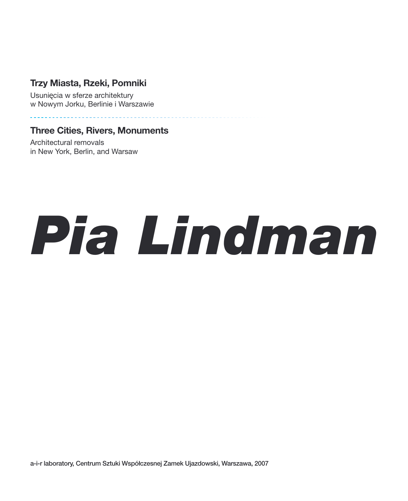# **Trzy Miasta, Rzeki, Pomniki**

Usunięcia w sferze architektury w Nowym Jorku, Berlinie i Warszawie

# **7hree Cities, Rivers, Monuments**

Architectural removals in New York, Berlin, and Warsaw

# *0IA,INDMAN*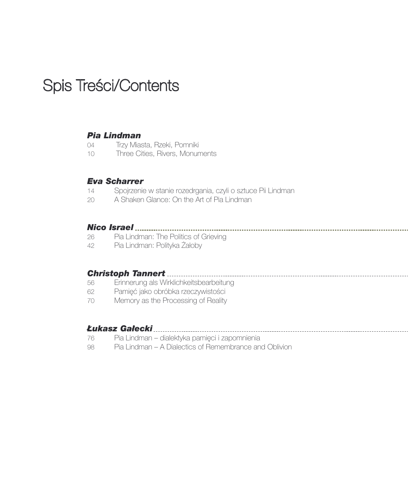# Spis Treści/Contents

# **Pia Lindman**

- 04 Trzy Miasta, Rzeki, Pomniki
- 10 Three Cities, Rivers, Monuments

# **Eva Scharrer**

- 14 Spojrzenie w stanie rozedrgania, czyli o sztuce Pii Lindman
- 20 A Shaken Glance: On the Art of Pia Lindman

# *.ICO)SRAEL*

- 26 Pia Lindman: The Politics of Grieving
- 42 Pia Lindman: Polityka Żałoby

# *#HRISTOPH4ANNERT*

- 56 Erinnerung als Wirklichkeitsbearbeitung
- 62 Pamięć jako obróbka rzeczywistości
- 70 Memory as the Processing of Reality

# *UKASZ'AECKI*

- 76 Pia Lindman dialektyka pamięci i zapomnienia
- 98 Pia Lindman A Dialectics of Remembrance and Oblivion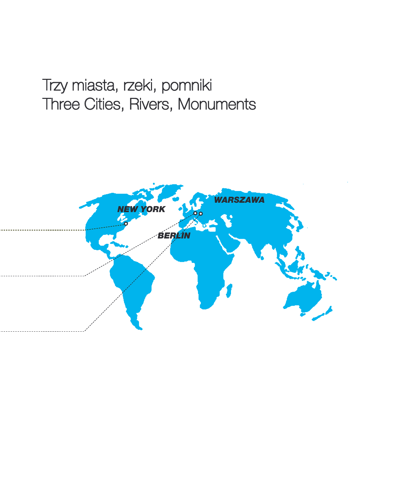# Trzy miasta, rzeki, pomniki Three Cities, Rivers, Monuments

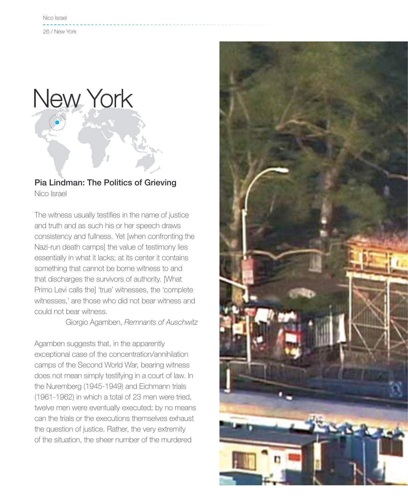26 / New York

# New York

# Pia Lindman: The Politics of Grieving Nico Israel

The witness usually testifies in the name of justice and truth and as such his or her speech draws consistency and fullness. Yet [when confronting the Nazi-run death camps] the value of testimony lies essentially in what it lacks; at its center it contains something that cannot be borne witness to and that discharges the survivors of authority. [What Primo Levi calls the] 'true' witnesses, the 'complete witnesses,' are those who did not bear witness and could not bear witness.

Giorgio Agamben, *Remnants of Auschwitz*

Agamben suggests that, in the apparently exceptional case of the concentration/annihilation camps of the Second World War, bearing witness does not mean simply testifying in a court of law. In the Nuremberg (1945-1949) and Eichmann trials (1961-1962) in which a total of 23 men were tried, twelve men were eventually executed; by no means can the trials or the executions themselves exhaust the question of justice. Rather, the very extremity of the situation, the sheer number of the murdered

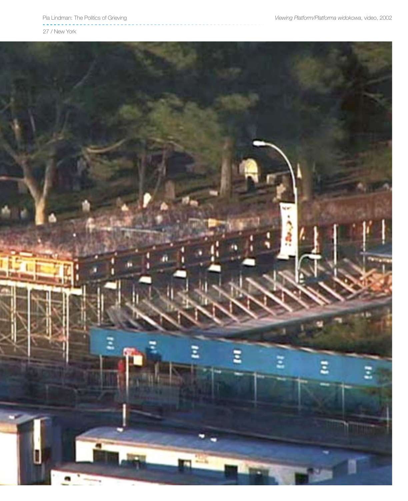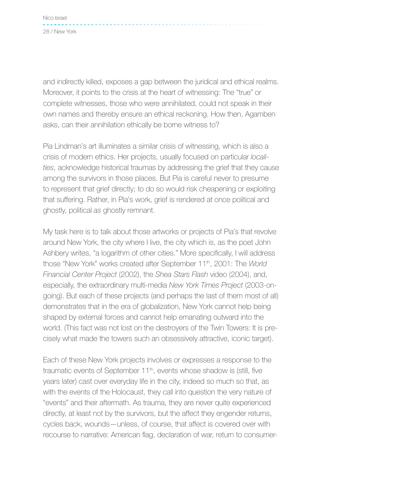and indirectly killed, exposes a gap between the juridical and ethical realms. Moreover, it points to the crisis at the heart of witnessing: The "true" or complete witnesses, those who were annihilated, could not speak in their own names and thereby ensure an ethical reckoning. How then, Agamben asks, can their annihilation ethically be borne witness to?

Pia Lindman's art illuminates a similar crisis of witnessing, which is also a crisis of modern ethics. Her projects, usually focused on particular *localities*, acknowledge historical traumas by addressing the grief that they cause among the survivors in those places. But Pia is careful never to presume to represent that grief directly; to do so would risk cheapening or exploiting that suffering. Rather, in Pia's work, grief is rendered at once political and ghostly, political *as* ghostly remnant.

My task here is to talk about those artworks or projects of Pia's that revolve around New York, the city where I live, the city which is, as the poet John Ashbery writes, "a logarithm of other cities." More specifically, I will address those "New York" works created after September 11<sup>th</sup>, 2001: The *World Financial Center Project* (2002), the *Shea Stars Flash* video (2004), and, especially, the extraordinary multi-media *New York Times Project* (2003-ongoing). But each of these projects (and perhaps the last of them most of all) demonstrates that in the era of globalization, New York cannot help being shaped by external forces and cannot help emanating outward into the world. (This fact was not lost on the destroyers of the Twin Towers: It is precisely what made the towers such an obsessively attractive, iconic target).

Each of these New York projects involves or expresses a response to the traumatic events of September 11<sup>th</sup>, events whose shadow is (still, five years later) cast over everyday life in the city, indeed so much so that, as with the events of the Holocaust, they call into question the very nature of "events" and their aftermath. As trauma, they are never quite experienced directly, at least not by the survivors, but the affect they engender returns, cycles back, wounds—unless, of course, that affect is covered over with recourse to narrative: American flag, declaration of war, return to consumer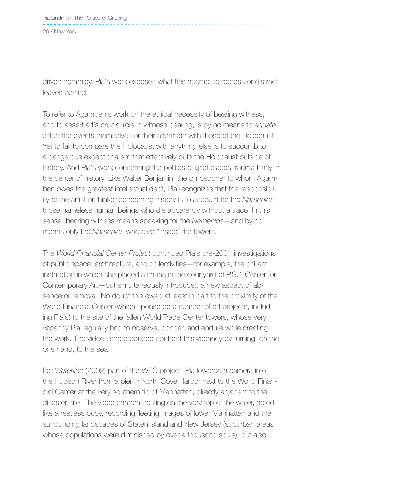driven normalcy. Pia's work exposes what this attempt to repress or distract leaves behind.

To refer to Agamben's work on the ethical necessity of bearing witness, and to assert art's crucial role in witness bearing, is by no means to *equate* either the events themselves or their aftermath with those of the Holocaust. Yet to fail to compare the Holocaust with anything else is to succumb to a dangerous exceptionalism that effectively puts the Holocaust outside of history. And Pia's work concerning the politics of grief places trauma firmly in the center of history. Like Walter Benjamin, the philosopher to whom Agamben owes the greatest intellectual debt, Pia recognizes that the responsibility of the artist or thinker concerning history is to account for the *Namenlos*, those nameless human beings who die apparently without a trace. In this sense, bearing witness means speaking for the *Namenlos*—and by no means only the *Namenlos* who died "inside" the towers.

The *World Financial Center Project* continued Pia's pre-2001 investigations of public space, architecture, and collectivities—for example, the brilliant installation in which she placed a sauna in the courtyard of P.S.1 Center for Contemporary Art—but simultaneously introduced a new aspect of absence or removal. No doubt this owed at least in part to the proximity of the World Financial Center (which sponsored a number of art projects, including Pia's) to the site of the fallen World Trade Center towers, whose very vacancy Pia regularly had to observe, ponder, and endure while creating the work. The videos she produced confront this vacancy by turning, on the one hand, to the sea.

For *Waterline* (2002) part of the WFC project, Pia lowered a camera into the Hudson River from a pier in North Cove Harbor next to the World Financial Center at the very southern tip of Manhattan, directly adjacent to the disaster site. The video camera, resting on the very top of the water, acted like a restless buoy, recording fleeting images of lower Manhattan and the surrounding landscapes of Staten Island and New Jersey (suburban areas whose populations were diminished by over a thousand souls), but also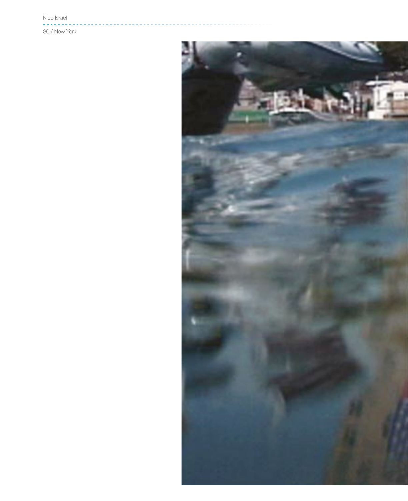## Nico Israel

 $\sim$ 

30 / New York

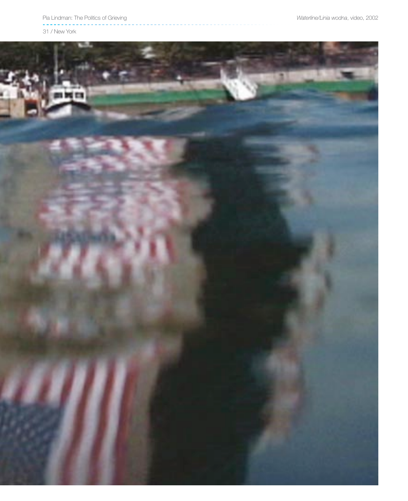$-$ 

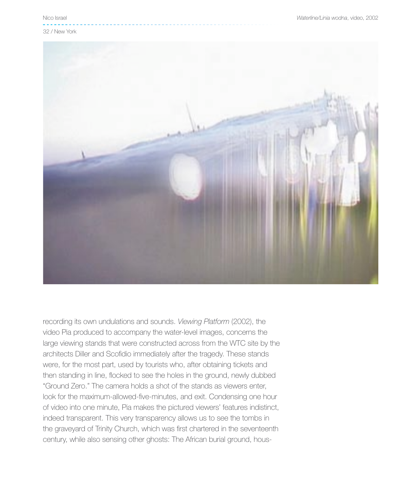Nico Israel

32 / New York



recording its own undulations and sounds. *Viewing Platform* (2002), the video Pia produced to accompany the water-level images, concerns the large viewing stands that were constructed across from the WTC site by the architects Diller and Scofidio immediately after the tragedy. These stands were, for the most part, used by tourists who, after obtaining tickets and then standing in line, flocked to see the holes in the ground, newly dubbed "Ground Zero." The camera holds a shot of the stands as viewers enter, look for the maximum-allowed-five-minutes, and exit. Condensing one hour of video into one minute, Pia makes the pictured viewers' features indistinct, indeed transparent. This very transparency allows us to see the tombs in the graveyard of Trinity Church, which was first chartered in the seventeenth century, while also sensing other ghosts: The African burial ground, hous-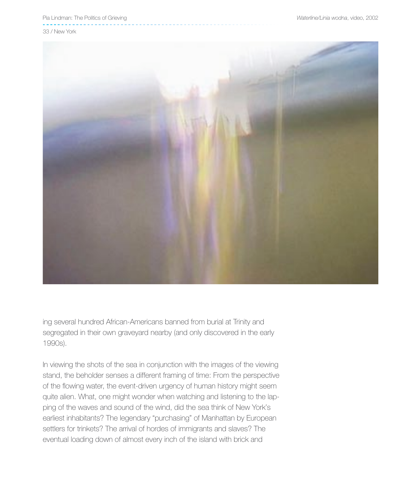33 / New York



ing several hundred African-Americans banned from burial at Trinity and segregated in their own graveyard nearby (and only discovered in the early 1990s).

In viewing the shots of the sea in conjunction with the images of the viewing stand, the beholder senses a different framing of time: From the perspective of the flowing water, the event-driven urgency of human history might seem quite alien. What, one might wonder when watching and listening to the lapping of the waves and sound of the wind, did the sea think of New York's earliest inhabitants? The legendary "purchasing" of Manhattan by European settlers for trinkets? The arrival of hordes of immigrants and slaves? The eventual loading down of almost every inch of the island with brick and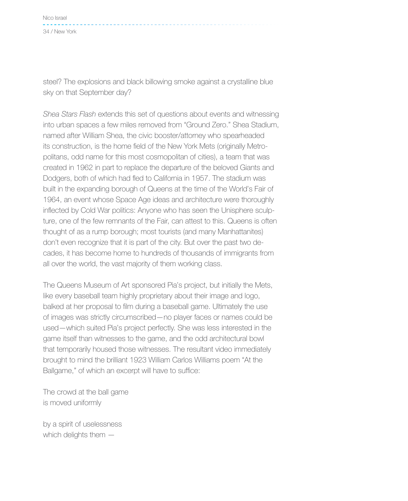steel? The explosions and black billowing smoke against a crystalline blue sky on that September day?

*Shea Stars Flash* extends this set of questions about events and witnessing into urban spaces a few miles removed from "Ground Zero." Shea Stadium, named after William Shea, the civic booster/attorney who spearheaded its construction, is the home field of the New York Mets (originally Metropolitans, odd name for this most cosmopolitan of cities), a team that was created in 1962 in part to replace the departure of the beloved Giants and Dodgers, both of which had fled to California in 1957. The stadium was built in the expanding borough of Queens at the time of the World's Fair of 1964, an event whose Space Age ideas and architecture were thoroughly inflected by Cold War politics: Anyone who has seen the Unisphere sculpture, one of the few remnants of the Fair, can attest to this. Queens is often thought of as a rump borough; most tourists (and many Manhattanites) don't even recognize that it is part of the city. But over the past two decades, it has become home to hundreds of thousands of immigrants from all over the world, the vast majority of them working class.

The Queens Museum of Art sponsored Pia's project, but initially the Mets, like every baseball team highly proprietary about their image and logo, balked at her proposal to film during a baseball game. Ultimately the use of images was strictly circumscribed—no player faces or names could be used—which suited Pia's project perfectly. She was less interested in the game itself than witnesses to the game, and the odd architectural bowl that temporarily housed those witnesses. The resultant video immediately brought to mind the brilliant 1923 William Carlos Williams poem "At the Ballgame," of which an excerpt will have to suffice:

The crowd at the ball game is moved uniformly

by a spirit of uselessness which delights them —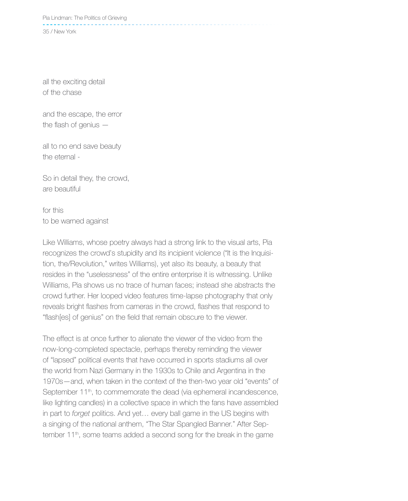35 / New York

all the exciting detail of the chase

and the escape, the error the flash of genius —

all to no end save beauty the eternal -

So in detail they, the crowd, are beautiful

for this to be warned against

Like Williams, whose poetry always had a strong link to the visual arts, Pia recognizes the crowd's stupidity and its incipient violence ("It is the Inquisition, the/Revolution," writes Williams), yet also its beauty, a beauty that resides in the "uselessness" of the entire enterprise it is witnessing. Unlike Williams, Pia shows us no trace of human faces; instead she abstracts the crowd further. Her looped video features time-lapse photography that only reveals bright flashes from cameras in the crowd, flashes that respond to "flash[es] of genius" on the field that remain obscure to the viewer.

The effect is at once further to alienate the viewer of the video from the now-long-completed spectacle, perhaps thereby reminding the viewer of "lapsed" political events that have occurred in sports stadiums all over the world from Nazi Germany in the 1930s to Chile and Argentina in the 1970s—and, when taken in the context of the then-two year old "events" of September 11<sup>th</sup>, to commemorate the dead (via ephemeral incandescence, like lighting candles) in a collective space in which the fans have assembled in part to *forget* politics. And yet… every ball game in the US begins with a singing of the national anthem, "The Star Spangled Banner." After September 11<sup>th</sup>, some teams added a second song for the break in the game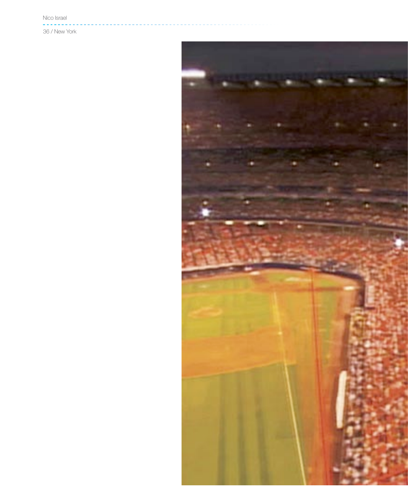### Nico Israel  $\frac{1}{2} \frac{1}{2} \frac{1}{2} \frac{1}{2} \frac{1}{2} \frac{1}{2} \frac{1}{2} \frac{1}{2}$

36 / New York

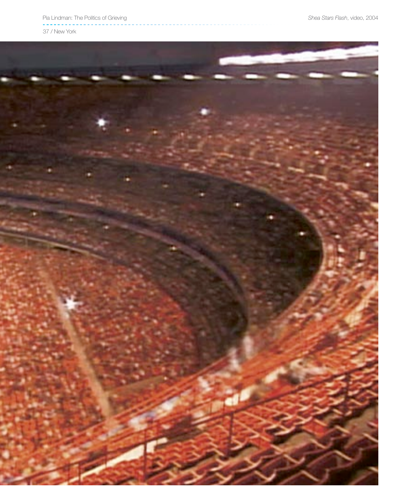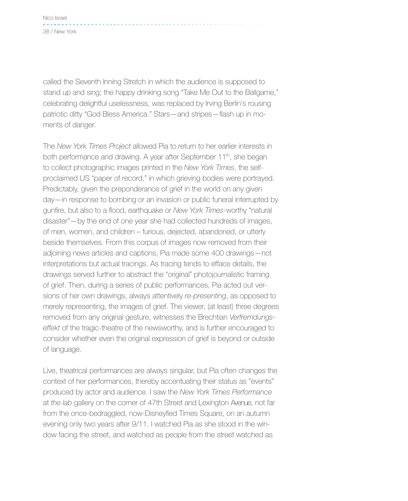called the Seventh Inning Stretch in which the audience is supposed to stand up and sing; the happy drinking song "Take Me Out to the Ballgame," celebrating delightful uselessness, was replaced by Irving Berlin's rousing patriotic ditty "God Bless America." Stars—and stripes—flash up in moments of danger.

The *New York Times Project* allowed Pia to return to her earlier interests in both performance and drawing. A year after September 11<sup>th</sup>, she began to collect photographic images printed in the *New York Times*, the selfproclaimed US "paper of record," in which grieving bodies were portrayed. Predictably, given the preponderance of grief in the world on any given day—in response to bombing or an invasion or public funeral interrupted by gunfire, but also to a flood, earthquake or *New York Times*-worthy "natural disaster"—by the end of one year she had collected hundreds of images, of men, women, and children – furious, dejected, abandoned, or utterly beside themselves*.* From this corpus of images now removed from their adjoining news articles and captions, Pia made some 400 drawings—not interpretations but actual tracings. As tracing tends to efface details, the drawings served further to abstract the "original" photojournalistic framing of grief. Then, during a series of public performances, Pia acted out versions of her own drawings, always attentively *re-presenting*, as opposed to merely representing, the images of grief. The viewer, (at least) three degrees removed from any original gesture, witnesses the Brechtian *Verfremdungseffekt* of the tragic-theatre of the newsworthy, and is further encouraged to consider whether even the original expression of grief is beyond or outside of language.

Live, theatrical performances are always singular, but Pia often changes the context of her performances, thereby accentuating their status as "events" produced by actor and audience. I saw the *New York Times Performance* at *the lab* gallery on the corner of 47th Street and Lexington Avenue, not far from the once-bedraggled, now-Disneyfied Times Square, on an autumn evening only two years after 9/11. I watched Pia as she stood in the window facing the street, and watched as people from the street watched as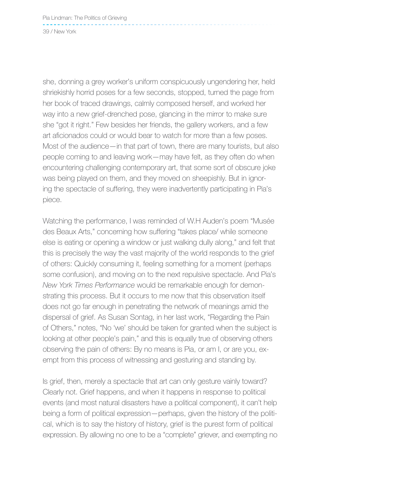39 / New York

she, donning a grey worker's uniform conspicuously ungendering her, held shriekishly horrid poses for a few seconds, stopped, turned the page from her book of traced drawings, calmly composed herself, and worked her way into a new grief-drenched pose, glancing in the mirror to make sure she "got it right." Few besides her friends, the gallery workers, and a few art aficionados could or would bear to watch for more than a few poses. Most of the audience—in that part of town, there are many tourists, but also people coming to and leaving work—may have felt, as they often do when encountering challenging contemporary art, that some sort of obscure joke was being played on them, and they moved on sheepishly. But in ignoring the spectacle of suffering, they were inadvertently participating in Pia's piece.

Watching the performance, I was reminded of W.H Auden's poem "Musée des Beaux Arts," concerning how suffering "takes place/ while someone else is eating or opening a window or just walking dully along," and felt that this is precisely the way the vast majority of the world responds to the grief of others: Quickly consuming it, feeling something for a moment (perhaps some confusion), and moving on to the next repulsive spectacle. And Pia's *New York Times Performance* would be remarkable enough for demonstrating this process. But it occurs to me now that this observation itself does not go far enough in penetrating the network of meanings amid the dispersal of grief. As Susan Sontag, in her last work, "Regarding the Pain of Others," notes, "No 'we' should be taken for granted when the subject is looking at other people's pain," and this is equally true of observing others observing the pain of others: By no means is Pia, or am I, or are you, exempt from this process of witnessing and gesturing and standing by.

Is grief, then, merely a spectacle that art can only gesture vainly toward? Clearly not. Grief happens, and when it happens in response to political events (and most natural disasters have a political component), it can't help being a form of political expression—perhaps, given the history of the political, which is to say the history of history, grief is the purest form of political expression. By allowing no one to be a "complete" griever, and exempting no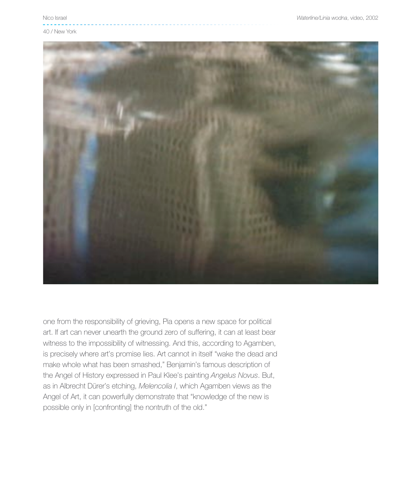Nico Israel

40 / New York



one from the responsibility of grieving, Pia opens a new space for political art. If art can never unearth the ground zero of suffering, it can at least bear witness to the impossibility of witnessing. And this, according to Agamben, is precisely where art's promise lies. Art cannot in itself "wake the dead and make whole what has been smashed," Benjamin's famous description of the Angel of History expressed in Paul Klee's painting *Angelus Novus*. But, as in Albrecht Dürer's etching, *Melencolia I*, which Agamben views as the Angel of Art, it can powerfully demonstrate that "knowledge of the new is possible only in [confronting] the nontruth of the old."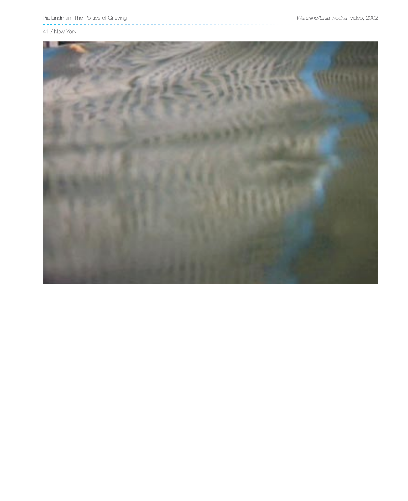41 / New York

L.

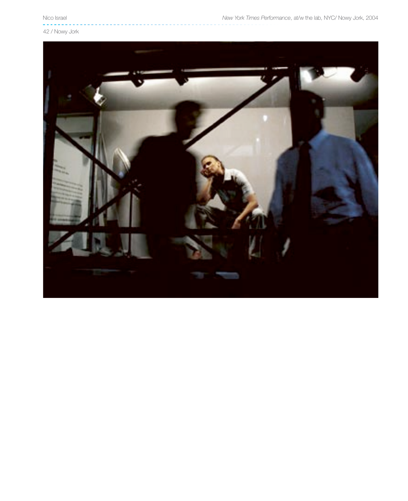$\sim$   $\sim$ 

42 / Nowy Jork